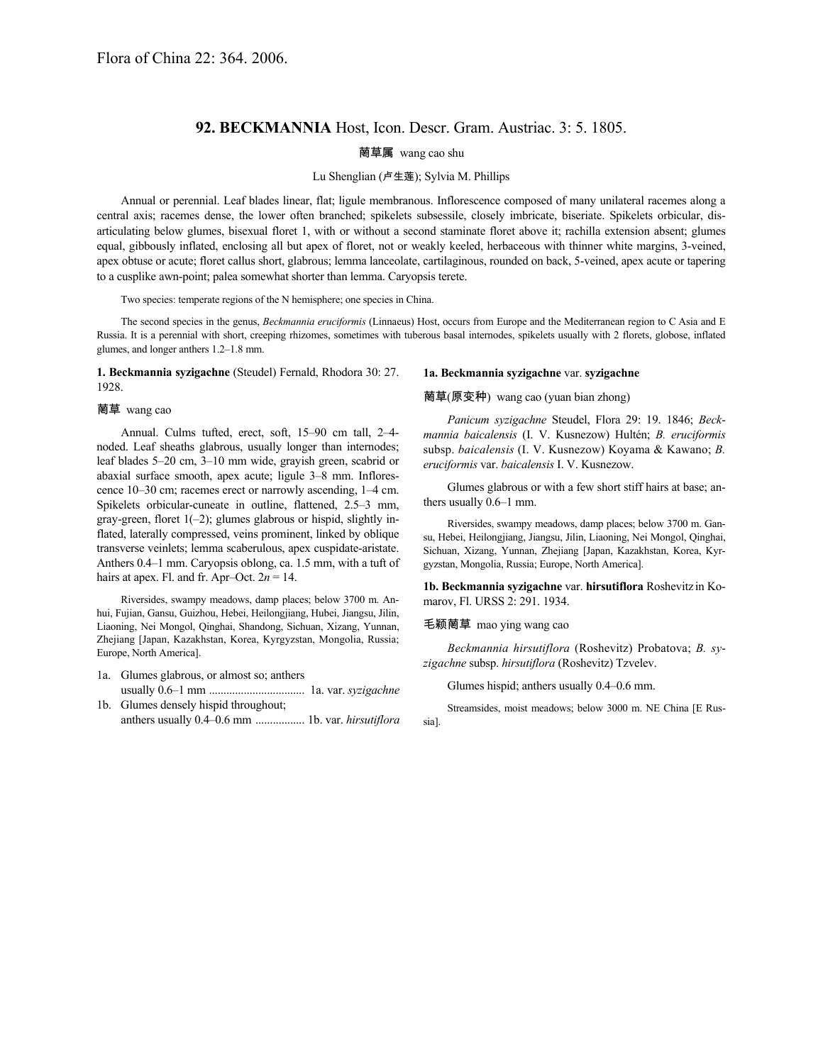# **92. BECKMANNIA** Host, Icon. Descr. Gram. Austriac. 3: 5. 1805.

## 菵草属 wang cao shu

### Lu Shenglian (卢生莲); Sylvia M. Phillips

Annual or perennial. Leaf blades linear, flat; ligule membranous. Inflorescence composed of many unilateral racemes along a central axis; racemes dense, the lower often branched; spikelets subsessile, closely imbricate, biseriate. Spikelets orbicular, disarticulating below glumes, bisexual floret 1, with or without a second staminate floret above it; rachilla extension absent; glumes equal, gibbously inflated, enclosing all but apex of floret, not or weakly keeled, herbaceous with thinner white margins, 3-veined, apex obtuse or acute; floret callus short, glabrous; lemma lanceolate, cartilaginous, rounded on back, 5-veined, apex acute or tapering to a cusplike awn-point; palea somewhat shorter than lemma. Caryopsis terete.

Two species: temperate regions of the N hemisphere; one species in China.

The second species in the genus, *Beckmannia eruciformis* (Linnaeus) Host, occurs from Europe and the Mediterranean region to C Asia and E Russia. It is a perennial with short, creeping rhizomes, sometimes with tuberous basal internodes, spikelets usually with 2 florets, globose, inflated glumes, and longer anthers 1.2–1.8 mm.

#### **1. Beckmannia syzigachne** (Steudel) Fernald, Rhodora 30: 27. 1928.

## 菵草 wang cao

Annual. Culms tufted, erect, soft, 15–90 cm tall, 2–4 noded. Leaf sheaths glabrous, usually longer than internodes; leaf blades 5–20 cm, 3–10 mm wide, grayish green, scabrid or abaxial surface smooth, apex acute; ligule 3–8 mm. Inflorescence 10–30 cm; racemes erect or narrowly ascending, 1–4 cm. Spikelets orbicular-cuneate in outline, flattened, 2.5–3 mm, gray-green, floret  $1(-2)$ ; glumes glabrous or hispid, slightly inflated, laterally compressed, veins prominent, linked by oblique transverse veinlets; lemma scaberulous, apex cuspidate-aristate. Anthers 0.4–1 mm. Caryopsis oblong, ca. 1.5 mm, with a tuft of hairs at apex. Fl. and fr. Apr–Oct.  $2n = 14$ .

Riversides, swampy meadows, damp places; below 3700 m. Anhui, Fujian, Gansu, Guizhou, Hebei, Heilongjiang, Hubei, Jiangsu, Jilin, Liaoning, Nei Mongol, Qinghai, Shandong, Sichuan, Xizang, Yunnan, Zhejiang [Japan, Kazakhstan, Korea, Kyrgyzstan, Mongolia, Russia; Europe, North America].

- 1a. Glumes glabrous, or almost so; anthers usually 0.6–1 mm ................................. 1a. var. *syzigachne*
- 1b. Glumes densely hispid throughout; anthers usually 0.4–0.6 mm ................. 1b. var. *hirsutiflora*

#### **1a. Beckmannia syzigachne** var. **syzigachne**

# 菵草(原变种) wang cao (yuan bian zhong)

*Panicum syzigachne* Steudel, Flora 29: 19. 1846; *Beckmannia baicalensis* (I. V. Kusnezow) Hultén; *B. eruciformis* subsp. *baicalensis* (I. V. Kusnezow) Koyama & Kawano; *B. eruciformis* var. *baicalensis* I. V. Kusnezow.

Glumes glabrous or with a few short stiff hairs at base; anthers usually 0.6–1 mm.

Riversides, swampy meadows, damp places; below 3700 m. Gansu, Hebei, Heilongjiang, Jiangsu, Jilin, Liaoning, Nei Mongol, Qinghai, Sichuan, Xizang, Yunnan, Zhejiang [Japan, Kazakhstan, Korea, Kyrgyzstan, Mongolia, Russia; Europe, North America].

**1b. Beckmannia syzigachne** var. **hirsutiflora** Roshevitz in Komarov, Fl. URSS 2: 291. 1934.

#### 毛颖菵草 mao ying wang cao

*Beckmannia hirsutiflora* (Roshevitz) Probatova; *B. syzigachne* subsp. *hirsutiflora* (Roshevitz) Tzvelev.

Glumes hispid; anthers usually 0.4–0.6 mm.

Streamsides, moist meadows; below 3000 m. NE China [E Russia].